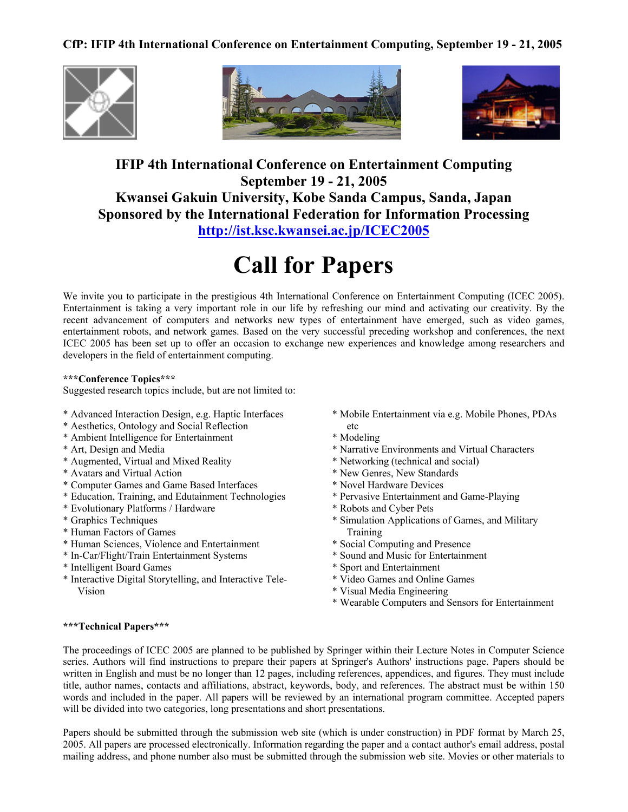## **CfP: IFIP 4th International Conference on Entertainment Computing, September 19 - 21, 2005**







# **IFIP 4th International Conference on Entertainment Computing September 19 - 21, 2005 Kwansei Gakuin University, Kobe Sanda Campus, Sanda, Japan Sponsored by the International Federation for Information Processing <http://ist.ksc.kwansei.ac.jp/ICEC2005>**

# **Call for Papers**

We invite you to participate in the prestigious 4th International Conference on Entertainment Computing (ICEC 2005). Entertainment is taking a very important role in our life by refreshing our mind and activating our creativity. By the recent advancement of computers and networks new types of entertainment have emerged, such as video games, entertainment robots, and network games. Based on the very successful preceding workshop and conferences, the next ICEC 2005 has been set up to offer an occasion to exchange new experiences and knowledge among researchers and developers in the field of entertainment computing.

#### **\*\*\*Conference Topics\*\*\***

Suggested research topics include, but are not limited to:

- \* Advanced Interaction Design, e.g. Haptic Interfaces
- \* Aesthetics, Ontology and Social Reflection
- \* Ambient Intelligence for Entertainment
- \* Art, Design and Media
- \* Augmented, Virtual and Mixed Reality
- \* Avatars and Virtual Action
- \* Computer Games and Game Based Interfaces
- \* Education, Training, and Edutainment Technologies
- \* Evolutionary Platforms / Hardware
- \* Graphics Techniques
- \* Human Factors of Games
- \* Human Sciences, Violence and Entertainment
- \* In-Car/Flight/Train Entertainment Systems
- \* Intelligent Board Games
- \* Interactive Digital Storytelling, and Interactive Tele-Vision
- \* Mobile Entertainment via e.g. Mobile Phones, PDAs etc
- \* Modeling
- \* Narrative Environments and Virtual Characters
- \* Networking (technical and social)
- \* New Genres, New Standards
- \* Novel Hardware Devices
- \* Pervasive Entertainment and Game-Playing
- \* Robots and Cyber Pets
- \* Simulation Applications of Games, and Military Training
- \* Social Computing and Presence
- \* Sound and Music for Entertainment
- \* Sport and Entertainment
- \* Video Games and Online Games
- \* Visual Media Engineering
- \* Wearable Computers and Sensors for Entertainment

#### **\*\*\*Technical Papers\*\*\***

The proceedings of ICEC 2005 are planned to be published by Springer within their Lecture Notes in Computer Science series. Authors will find instructions to prepare their papers at Springer's Authors' instructions page. Papers should be written in English and must be no longer than 12 pages, including references, appendices, and figures. They must include title, author names, contacts and affiliations, abstract, keywords, body, and references. The abstract must be within 150 words and included in the paper. All papers will be reviewed by an international program committee. Accepted papers will be divided into two categories, long presentations and short presentations.

Papers should be submitted through the submission web site (which is under construction) in PDF format by March 25, 2005. All papers are processed electronically. Information regarding the paper and a contact author's email address, postal mailing address, and phone number also must be submitted through the submission web site. Movies or other materials to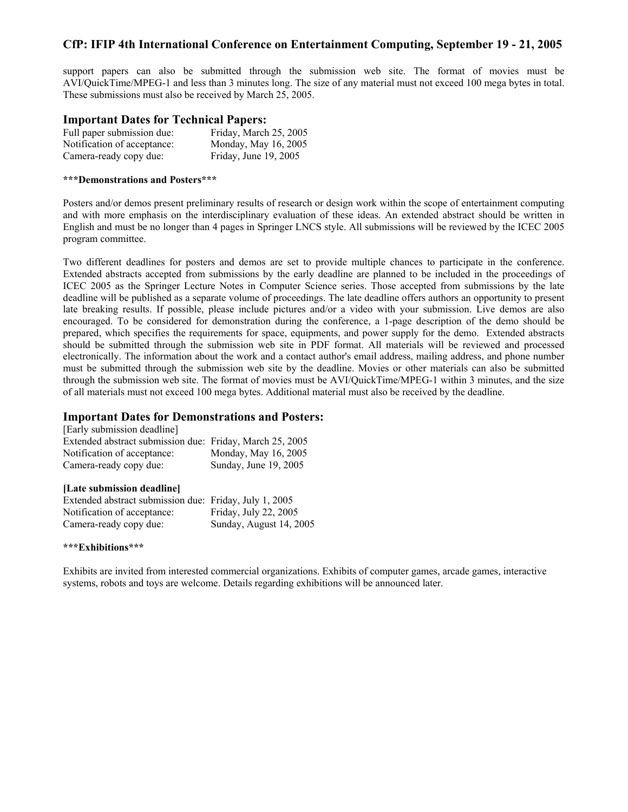## **CfP: IFIP 4th International Conference on Entertainment Computing, September 19 - 21, 2005**

support papers can also be submitted through the submission web site. The format of movies must be AVI/QuickTime/MPEG-1 and less than 3 minutes long. The size of any material must not exceed 100 mega bytes in total. These submissions must also be received by March 25, 2005.

#### **Important Dates for Technical Papers:**

| Full paper submission due:  | Friday, March 25, 2005 |
|-----------------------------|------------------------|
| Notification of acceptance: | Monday, May 16, 2005   |
| Camera-ready copy due:      | Friday, June 19, 2005  |

#### **\*\*\*Demonstrations and Posters\*\*\***

Posters and/or demos present preliminary results of research or design work within the scope of entertainment computing and with more emphasis on the interdisciplinary evaluation of these ideas. An extended abstract should be written in English and must be no longer than 4 pages in Springer LNCS style. All submissions will be reviewed by the ICEC 2005 program committee.

Two different deadlines for posters and demos are set to provide multiple chances to participate in the conference. Extended abstracts accepted from submissions by the early deadline are planned to be included in the proceedings of ICEC 2005 as the Springer Lecture Notes in Computer Science series. Those accepted from submissions by the late deadline will be published as a separate volume of proceedings. The late deadline offers authors an opportunity to present late breaking results. If possible, please include pictures and/or a video with your submission. Live demos are also encouraged. To be considered for demonstration during the conference, a 1-page description of the demo should be prepared, which specifies the requirements for space, equipments, and power supply for the demo. Extended abstracts should be submitted through the submission web site in PDF format. All materials will be reviewed and processed electronically. The information about the work and a contact author's email address, mailing address, and phone number must be submitted through the submission web site by the deadline. Movies or other materials can also be submitted through the submission web site. The format of movies must be AVI/QuickTime/MPEG-1 within 3 minutes, and the size of all materials must not exceed 100 mega bytes. Additional material must also be received by the deadline.

#### **Important Dates for Demonstrations and Posters:**

| <b>ILate submission deadlinel</b>                        |                       |  |
|----------------------------------------------------------|-----------------------|--|
| Camera-ready copy due:                                   | Sunday, June 19, 2005 |  |
| Notification of acceptance:                              | Monday, May 16, 2005  |  |
| Extended abstract submission due: Friday, March 25, 2005 |                       |  |
| [Early submission deadline]                              |                       |  |

| Extended abstract submission due: Friday, July 1, 2005 |                         |
|--------------------------------------------------------|-------------------------|
| Notification of acceptance:                            | Friday, July 22, 2005   |
| Camera-ready copy due:                                 | Sunday, August 14, 2005 |

#### **\*\*\*Exhibitions\*\*\***

Exhibits are invited from interested commercial organizations. Exhibits of computer games, arcade games, interactive systems, robots and toys are welcome. Details regarding exhibitions will be announced later.